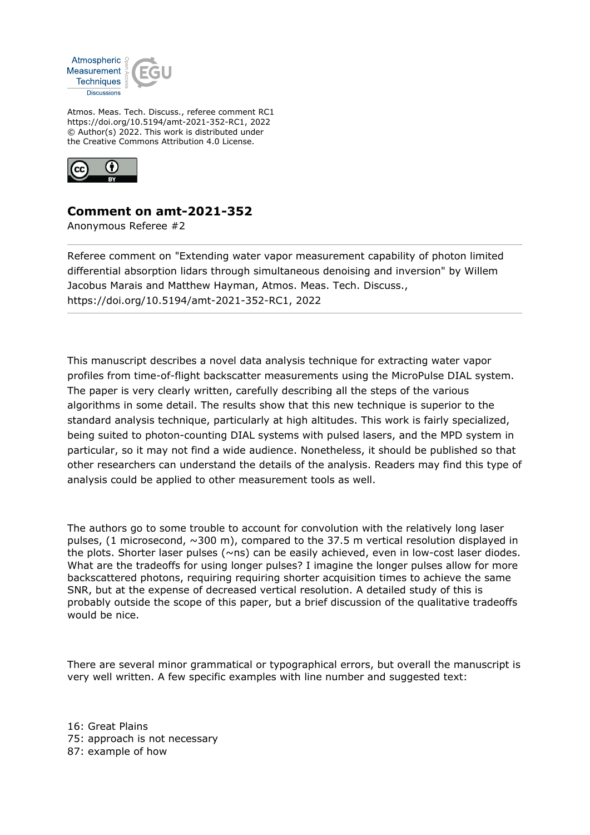

Atmos. Meas. Tech. Discuss., referee comment RC1 https://doi.org/10.5194/amt-2021-352-RC1, 2022 © Author(s) 2022. This work is distributed under the Creative Commons Attribution 4.0 License.



## **Comment on amt-2021-352**

Anonymous Referee #2

Referee comment on "Extending water vapor measurement capability of photon limited differential absorption lidars through simultaneous denoising and inversion" by Willem Jacobus Marais and Matthew Hayman, Atmos. Meas. Tech. Discuss., https://doi.org/10.5194/amt-2021-352-RC1, 2022

This manuscript describes a novel data analysis technique for extracting water vapor profiles from time-of-flight backscatter measurements using the MicroPulse DIAL system. The paper is very clearly written, carefully describing all the steps of the various algorithms in some detail. The results show that this new technique is superior to the standard analysis technique, particularly at high altitudes. This work is fairly specialized, being suited to photon-counting DIAL systems with pulsed lasers, and the MPD system in particular, so it may not find a wide audience. Nonetheless, it should be published so that other researchers can understand the details of the analysis. Readers may find this type of analysis could be applied to other measurement tools as well.

The authors go to some trouble to account for convolution with the relatively long laser pulses, (1 microsecond, ~300 m), compared to the 37.5 m vertical resolution displayed in the plots. Shorter laser pulses (~ns) can be easily achieved, even in low-cost laser diodes. What are the tradeoffs for using longer pulses? I imagine the longer pulses allow for more backscattered photons, requiring requiring shorter acquisition times to achieve the same SNR, but at the expense of decreased vertical resolution. A detailed study of this is probably outside the scope of this paper, but a brief discussion of the qualitative tradeoffs would be nice.

There are several minor grammatical or typographical errors, but overall the manuscript is very well written. A few specific examples with line number and suggested text:

16: Great Plains 75: approach is not necessary 87: example of how